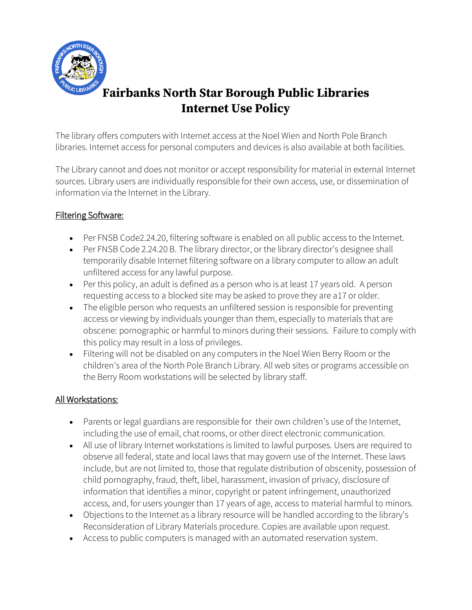

# **Fairbanks North Star Borough Public Libraries Internet Use Policy**

The library offers computers with Internet access at the Noel Wien and North Pole Branch libraries. Internet access for personal computers and devices is also available at both facilities.

The Library cannot and does not monitor or accept responsibility for material in external Internet sources. Library users are individually responsible for their own access, use, or dissemination of information via the Internet in the Library.

### Filtering Software:

- Per FNSB Code2.24.20, filtering software is enabled on all public access to the Internet.
- Per FNSB Code 2.24.20 B. The library director, or the library director's designee shall temporarily disable Internet filtering software on a library computer to allow an adult unfiltered access for any lawful purpose.
- Per this policy, an adult is defined as a person who is at least 17 years old. A person requesting access to a blocked site may be asked to prove they are a17 or older.
- The eligible person who requests an unfiltered session is responsible for preventing access or viewing by individuals younger than them, especially to materials that are obscene: pornographic or harmful to minors during their sessions. Failure to comply with this policy may result in a loss of privileges.
- Filtering will not be disabled on any computers in the Noel Wien Berry Room or the children's area of the North Pole Branch Library. All web sites or programs accessible on the Berry Room workstations will be selected by library staff.

### All Workstations:

- Parents or legal guardians are responsible for their own children's use of the Internet, including the use of email, chat rooms, or other direct electronic communication.
- All use of library Internet workstations is limited to lawful purposes. Users are required to observe all federal, state and local laws that may govern use of the Internet. These laws include, but are not limited to, those that regulate distribution of obscenity, possession of child pornography, fraud, theft, libel, harassment, invasion of privacy, disclosure of information that identifies a minor, copyright or patent infringement, unauthorized access, and, for users younger than 17 years of age, access to material harmful to minors.
- Objections to the Internet as a library resource will be handled according to the library's Reconsideration of Library Materials procedure. Copies are available upon request.
- Access to public computers is managed with an automated reservation system.